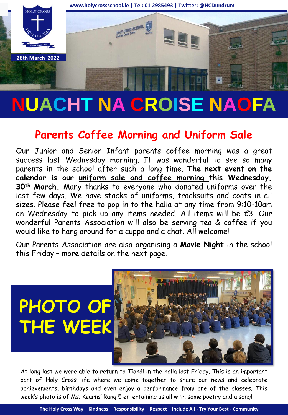

# **NUACHT NA CROISE NAOFA**

## **Parents Coffee Morning and Uniform Sale**

Our Junior and Senior Infant parents coffee morning was a great success last Wednesday morning. It was wonderful to see so many parents in the school after such a long time. **The next event on the calendar is our uniform sale and coffee morning this Wednesday, 30th March.** Many thanks to everyone who donated uniforms over the last few days. We have stacks of uniforms, tracksuits and coats in all sizes. Please feel free to pop in to the halla at any time from 9:10-10am on Wednesday to pick up any items needed. All items will be €3. Our wonderful Parents Association will also be serving tea & coffee if you would like to hang around for a cuppa and a chat. All welcome!

Our Parents Association are also organising a **Movie Night** in the school this Friday – more details on the next page.



At long last we were able to return to Tionól in the halla last Friday. This is an important part of Holy Cross life where we come together to share our news and celebrate achievements, birthdays and even enjoy a performance from one of the classes. This week's photo is of Ms. Kearns' Rang 5 entertaining us all with some poetry and a song!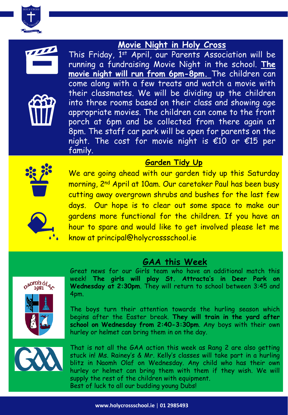

#### **Movie Night in Holy Cross**





This Friday, 1<sup>st</sup> April, our Parents Association will be running a fundraising Movie Night in the school. **The movie night will run from 6pm-8pm.** The children can come along with a few treats and watch a movie with their classmates. We will be dividing up the children into three rooms based on their class and showing age appropriate movies. The children can come to the front porch at 6pm and be collected from there again at 8pm. The staff car park will be open for parents on the night. The cost for movie night is  $\epsilon$ 10 or  $\epsilon$ 15 per family.

#### **Garden Tidy Up** We are going ahead with our garden tidy up this Saturday



morning, 2nd April at 10am. Our caretaker Paul has been busy cutting away overgrown shrubs and bushes for the last few days. Our hope is to clear out some space to make our gardens more functional for the children. If you have an hour to spare and would like to get involved please let me know at principal@holycrossschool.ie



#### **GAA this Week**



Great news for our Girls team who have an additional match this week! **The girls will play St. Attracta's in Deer Park on Wednesday at 2:30pm**. They will return to school between 3:45 and 4pm.

The boys turn their attention towards the hurling season which begins after the Easter break. **They will train in the yard after school on Wednesday from 2:40-3:30pm**. Any boys with their own hurley or helmet can bring them in on the day.



That is not all the GAA action this week as Rang 2 are also getting stuck in! Ms. Rainey's & Mr. Kelly's classes will take part in a hurling blitz in Naomh Olaf on Wednesday. Any child who has their own hurley or helmet can bring them with them if they wish. We will supply the rest of the children with equipment. Best of luck to all our budding young Dubs!